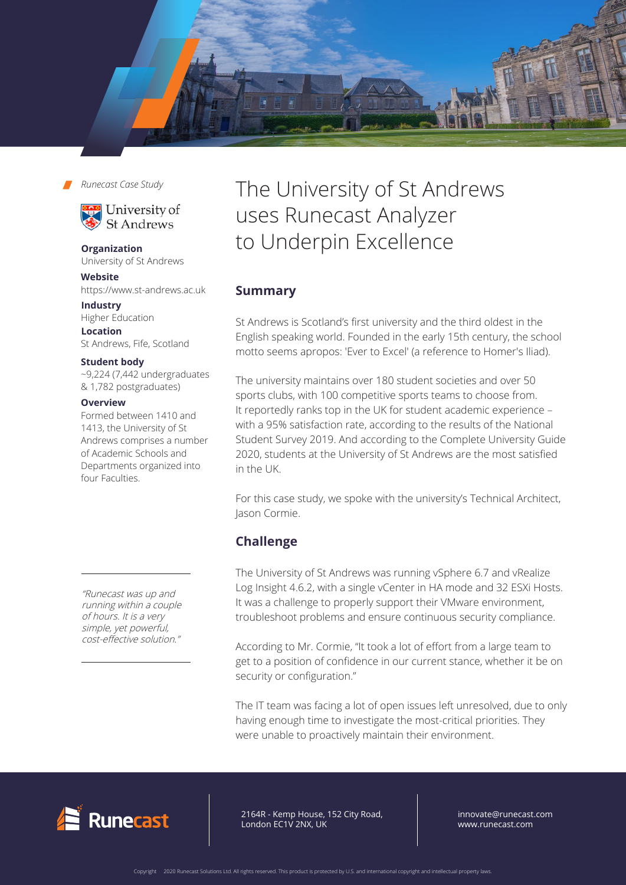

*Runecast Case Study*



**Organization** University of St Andrews

**Website** https://www.st-andrews.ac.uk

**Industry** Higher Education **Location**

St Andrews, Fife, Scotland

### **Student body**

~9,224 (7,442 undergraduates & 1,782 postgraduates)

## **Overview**

Formed between 1410 and 1413, the University of St Andrews comprises a number of Academic Schools and Departments organized into four Faculties.

"Runecast was up and running within a couple of hours. It is a very simple, yet powerful, cost-effective solution."

# The University of St Andrews uses Runecast Analyzer to Underpin Excellence

# **Summary**

St Andrews is Scotland's first university and the third oldest in the English speaking world. Founded in the early 15th century, the school motto seems apropos: 'Ever to Excel' (a reference to Homer's Iliad).

The university maintains over 180 student societies and over 50 sports clubs, with 100 competitive sports teams to choose from. It reportedly ranks top in the UK for student academic experience – with a 95% satisfaction rate, according to the results of the National Student Survey 2019. And according to the Complete University Guide 2020, students at the University of St Andrews are the most satisfied in the UK.

For this case study, we spoke with the university's Technical Architect, Jason Cormie.

# **Challenge**

The University of St Andrews was running vSphere 6.7 and vRealize Log Insight 4.6.2, with a single vCenter in HA mode and 32 ESXi Hosts. It was a challenge to properly support their VMware environment, troubleshoot problems and ensure continuous security compliance.

According to Mr. Cormie, "It took a lot of effort from a large team to get to a position of confidence in our current stance, whether it be on security or configuration."

The IT team was facing a lot of open issues left unresolved, due to only having enough time to investigate the most-critical priorities. They were unable to proactively maintain their environment.



64R - Kemp House, 152 City Road, ndon EC1V 2NX, UK 2164R - Kemp House, 152 City Road, London EC1V 2NX, UK

innovate@runecast.com www.runecast.com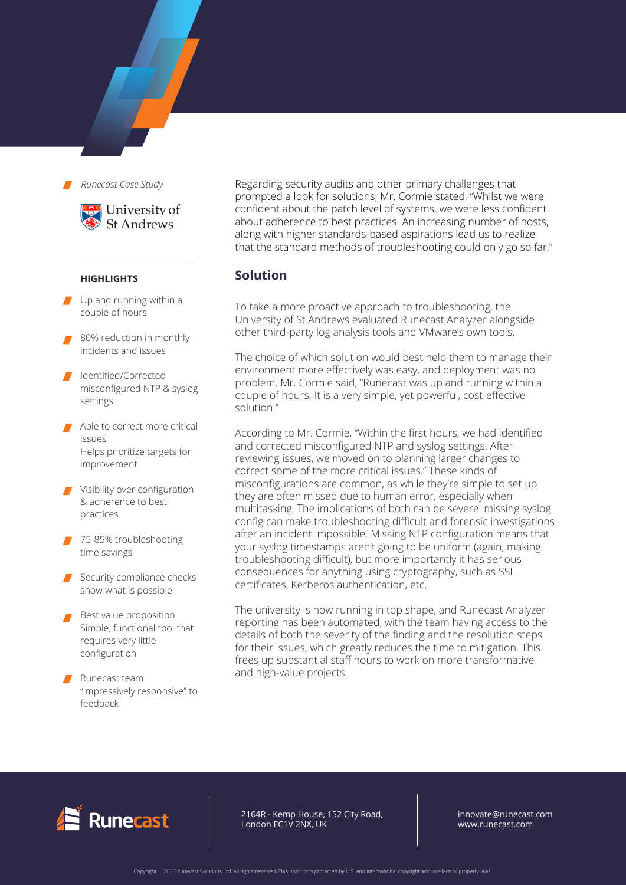*Runecast Case Study*



#### **HIGHLIGHTS**

- Up and running within a couple of hours
- 80% reduction in monthly incidents and issues
- Identified/Corrected misconfigured NTP & syslog settings
- Able to correct more critical issues Helps prioritize targets for improvement
- Visibility over configuration & adherence to best practices
- 75-85% troubleshooting time savings
- Security compliance checks show what is possible
- Best value proposition Simple, functional tool that requires very little configuration
- Runecast team "impressively responsive" to feedback

Regarding security audits and other primary challenges that prompted a look for solutions, Mr. Cormie stated, "Whilst we were confident about the patch level of systems, we were less confident about adherence to best practices. An increasing number of hosts, along with higher standards-based aspirations lead us to realize that the standard methods of troubleshooting could only go so far."

## **Solution**

To take a more proactive approach to troubleshooting, the University of St Andrews evaluated Runecast Analyzer alongside other third-party log analysis tools and VMware's own tools.

The choice of which solution would best help them to manage their environment more effectively was easy, and deployment was no problem. Mr. Cormie said, "Runecast was up and running within a couple of hours. It is a very simple, yet powerful, cost-effective solution."

According to Mr. Cormie, "Within the first hours, we had identified and corrected misconfigured NTP and syslog settings. After reviewing issues, we moved on to planning larger changes to correct some of the more critical issues." These kinds of misconfigurations are common, as while they're simple to set up they are often missed due to human error, especially when multitasking. The implications of both can be severe: missing syslog config can make troubleshooting difficult and forensic investigations after an incident impossible. Missing NTP configuration means that your syslog timestamps aren't going to be uniform (again, making troubleshooting difficult), but more importantly it has serious consequences for anything using cryptography, such as SSL certificates, Kerberos authentication, etc.

The university is now running in top shape, and Runecast Analyzer reporting has been automated, with the team having access to the details of both the severity of the finding and the resolution steps for their issues, which greatly reduces the time to mitigation. This frees up substantial staff hours to work on more transformative and high-value projects.



2164R - Kemp House, 152 City Road, London EC1V 2NX, UK

innovate@runecast.com www.runecast.com